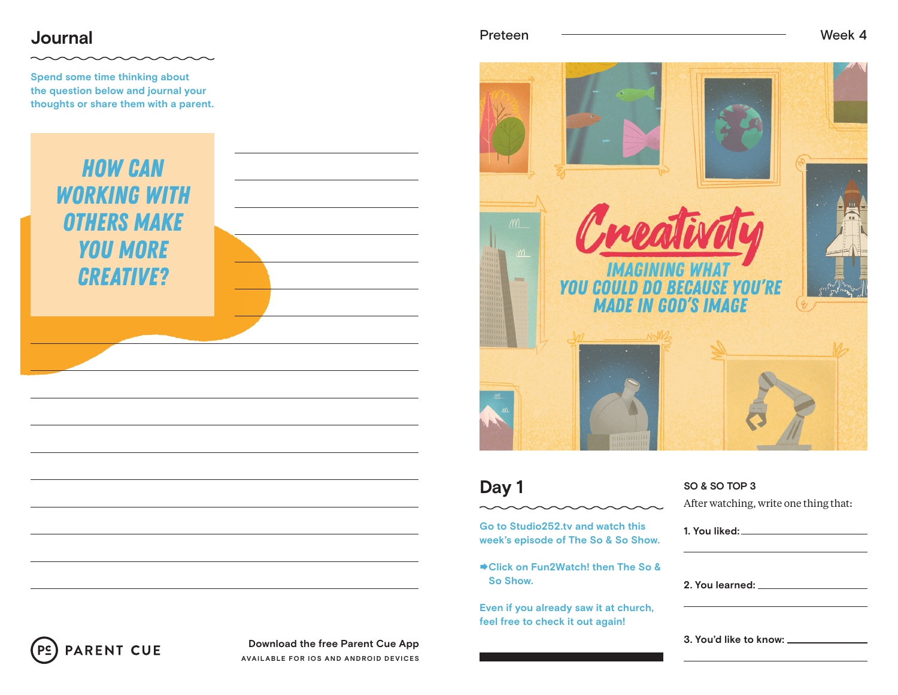## **Journal**

**Spend some time thinking about the question below and journal your thoughts or share them with a parent.**







### **Day 1**

**Go to Studio252.tv and watch this week's episode of The So & So Show.**

**Click on Fun2Watch! then The So & So Show.**

**Even if you already saw it at church, feel free to check it out again!**

### **SO & SO TOP 3** After watching, write one thing that:

| 2. You learned: The contract of the contract of the contract of the contract of the contract of the contract o |  |  |
|----------------------------------------------------------------------------------------------------------------|--|--|
|                                                                                                                |  |  |



**Download the free Parent Cue App AVAILABLE FOR IOS AND ANDROID DEVICES**